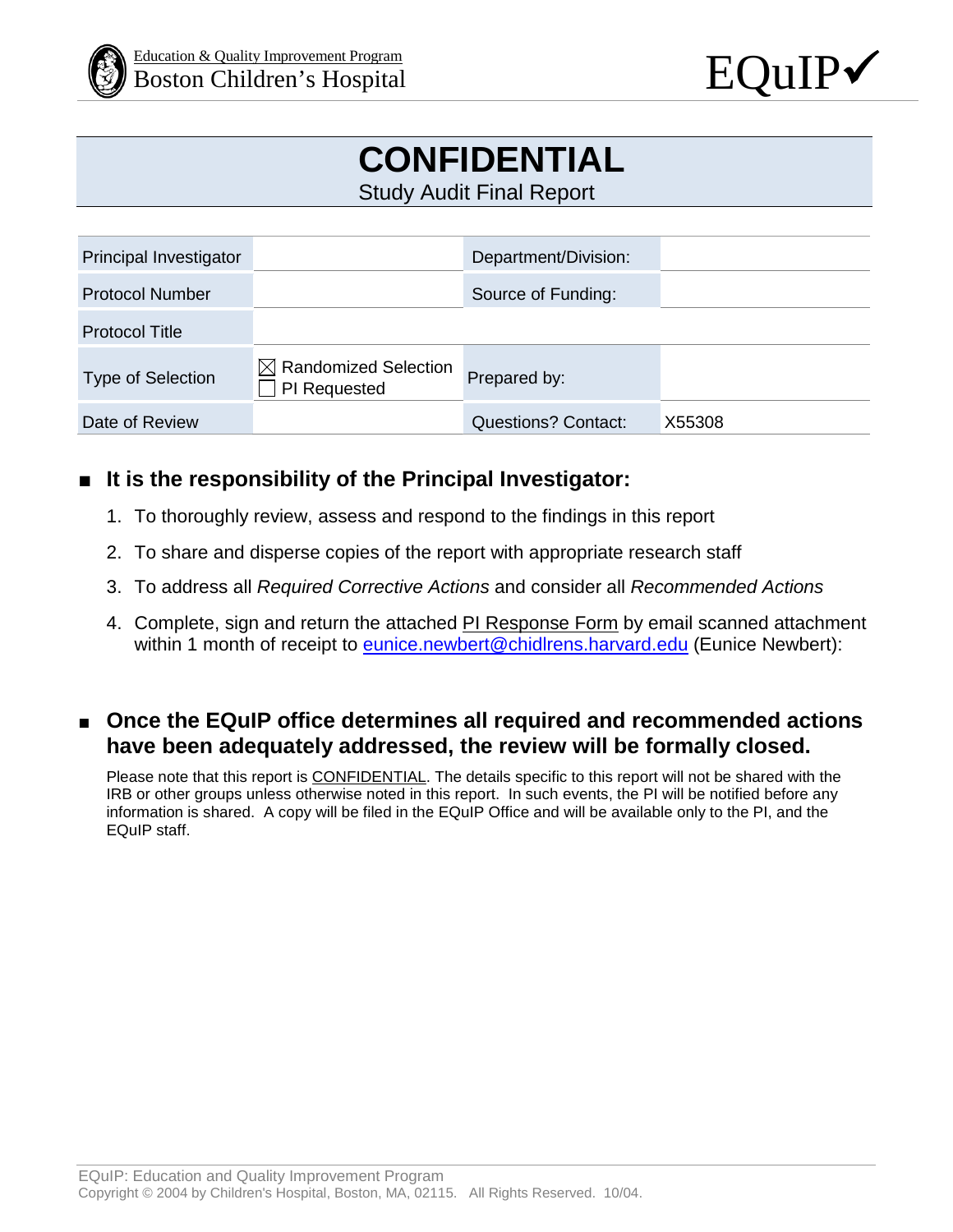



# **CONFIDENTIAL**

Study Audit Final Report

| Principal Investigator |                                                  | Department/Division:       |        |
|------------------------|--------------------------------------------------|----------------------------|--------|
| <b>Protocol Number</b> |                                                  | Source of Funding:         |        |
| <b>Protocol Title</b>  |                                                  |                            |        |
| Type of Selection      | $\boxtimes$ Randomized Selection<br>PI Requested | Prepared by:               |        |
| Date of Review         |                                                  | <b>Questions? Contact:</b> | X55308 |

### ■ **It is the responsibility of the Principal Investigator:**

- 1. To thoroughly review, assess and respond to the findings in this report
- 2. To share and disperse copies of the report with appropriate research staff
- 3. To address all *Required Corrective Actions* and consider all *Recommended Actions*
- 4. Complete, sign and return the attached **PI Response Form** by email scanned attachment within 1 month of receipt to [eunice.newbert@chidlrens.harvard.edu](mailto:eunice.newbert@chidlrens.harvard.edu) (Eunice Newbert):

### ■ Once the EQuIP office determines all required and recommended actions **have been adequately addressed, the review will be formally closed.**

Please note that this report is CONFIDENTIAL. The details specific to this report will not be shared with the IRB or other groups unless otherwise noted in this report. In such events, the PI will be notified before any information is shared. A copy will be filed in the EQuIP Office and will be available only to the PI, and the EQuIP staff.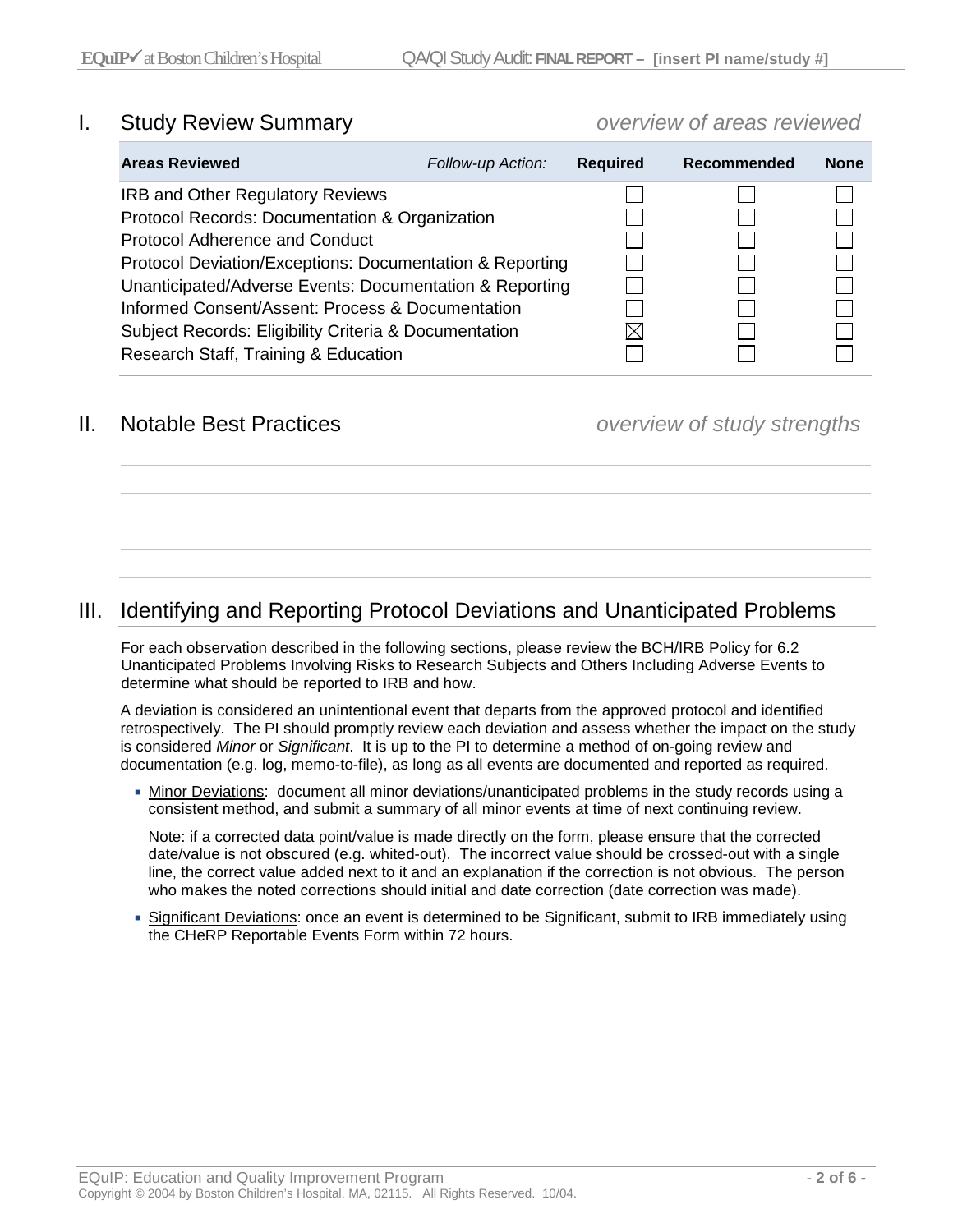#### I. Study Review Summary *overview of areas reviewed*

| <b>Areas Reviewed</b>                                            | Follow-up Action: | <b>Required</b> | Recommended | <b>None</b> |
|------------------------------------------------------------------|-------------------|-----------------|-------------|-------------|
| <b>IRB and Other Regulatory Reviews</b>                          |                   |                 |             |             |
| Protocol Records: Documentation & Organization                   |                   |                 |             |             |
| Protocol Adherence and Conduct                                   |                   |                 |             |             |
| Protocol Deviation/Exceptions: Documentation & Reporting         |                   |                 |             |             |
| Unanticipated/Adverse Events: Documentation & Reporting          |                   |                 |             |             |
| Informed Consent/Assent: Process & Documentation                 |                   |                 |             |             |
| <b>Subject Records: Eligibility Criteria &amp; Documentation</b> |                   |                 |             |             |
| Research Staff, Training & Education                             |                   |                 |             |             |
|                                                                  |                   |                 |             |             |

#### II. Notable Best Practices *overview of study strengths*

#### III. Identifying and Reporting Protocol Deviations and Unanticipated Problems

For each observation described in the following sections, please review the BCH/IRB Policy for [6.2](http://www.childrenshospital.org/%7E/media/research-and-innovation/office-of-clinical-investigation/62-unanticipated-problems-involving-risks-to-research-subjects-and-others-including-adverse-events102815.ashx?la=en)  [Unanticipated Problems Involving Risks to Research Subjects and Others Including Adverse Events](http://www.childrenshospital.org/%7E/media/research-and-innovation/office-of-clinical-investigation/62-unanticipated-problems-involving-risks-to-research-subjects-and-others-including-adverse-events102815.ashx?la=en) to determine what should be reported to IRB and how.

A deviation is considered an unintentional event that departs from the approved protocol and identified retrospectively. The PI should promptly review each deviation and assess whether the impact on the study is considered *Minor* or *Significant*. It is up to the PI to determine a method of on-going review and documentation (e.g. log, memo-to-file), as long as all events are documented and reported as required.

 Minor Deviations: document all minor deviations/unanticipated problems in the study records using a consistent method, and submit a summary of all minor events at time of next continuing review.

Note: if a corrected data point/value is made directly on the form, please ensure that the corrected date/value is not obscured (e.g. whited-out). The incorrect value should be crossed-out with a single line, the correct value added next to it and an explanation if the correction is not obvious. The person who makes the noted corrections should initial and date correction (date correction was made).

 Significant Deviations: once an event is determined to be Significant, submit to IRB immediately using the CHeRP Reportable Events Form within 72 hours.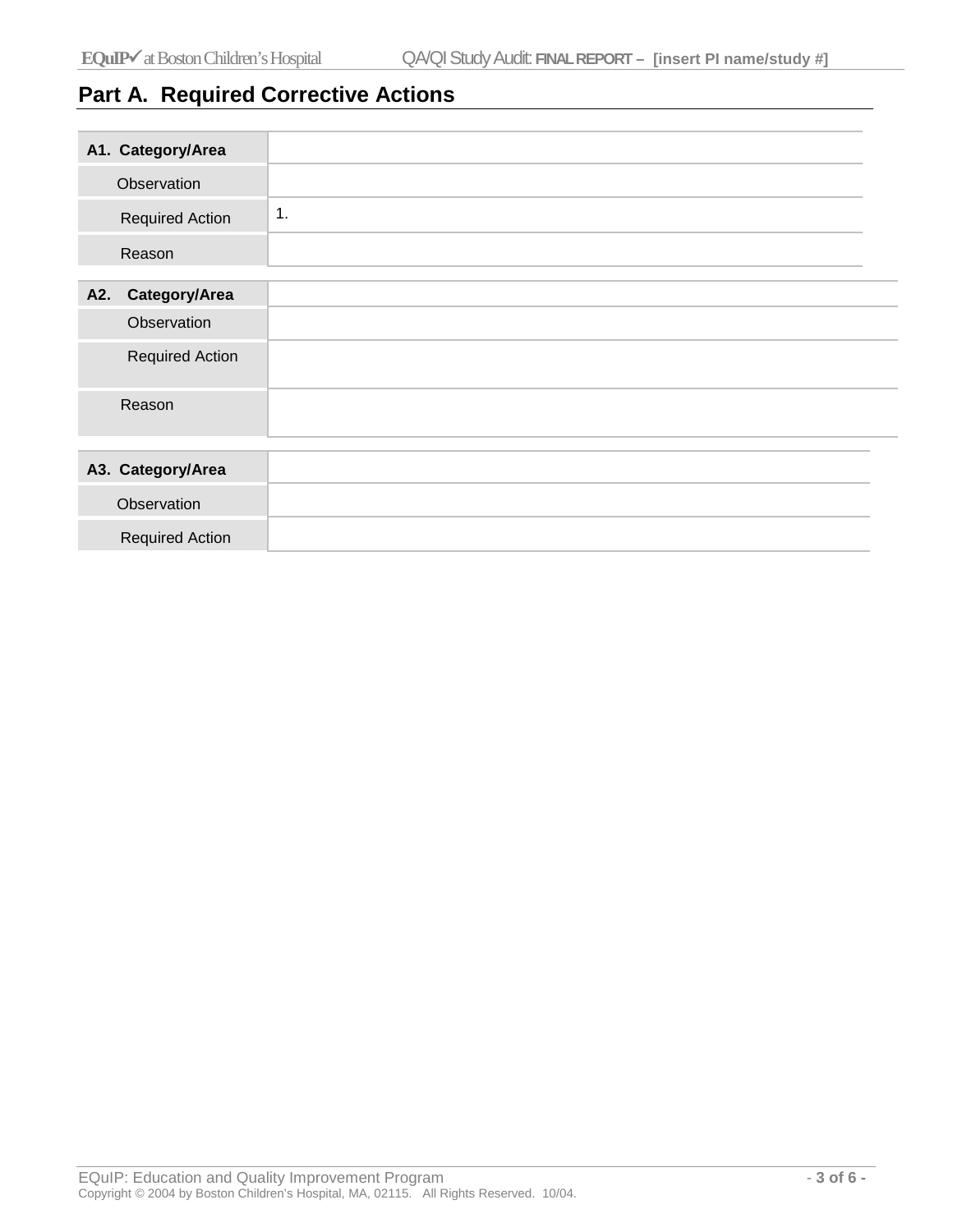# **Part A. Required Corrective Actions**

| A1. Category/Area      |                        |
|------------------------|------------------------|
| Observation            |                        |
| <b>Required Action</b> | $\mathbf 1$ .          |
| Reason                 |                        |
| Category/Area<br>A2.   |                        |
| Observation            |                        |
|                        | <b>Required Action</b> |
| Reason                 |                        |
|                        |                        |
| A3. Category/Area      |                        |
| Observation            |                        |
| <b>Required Action</b> |                        |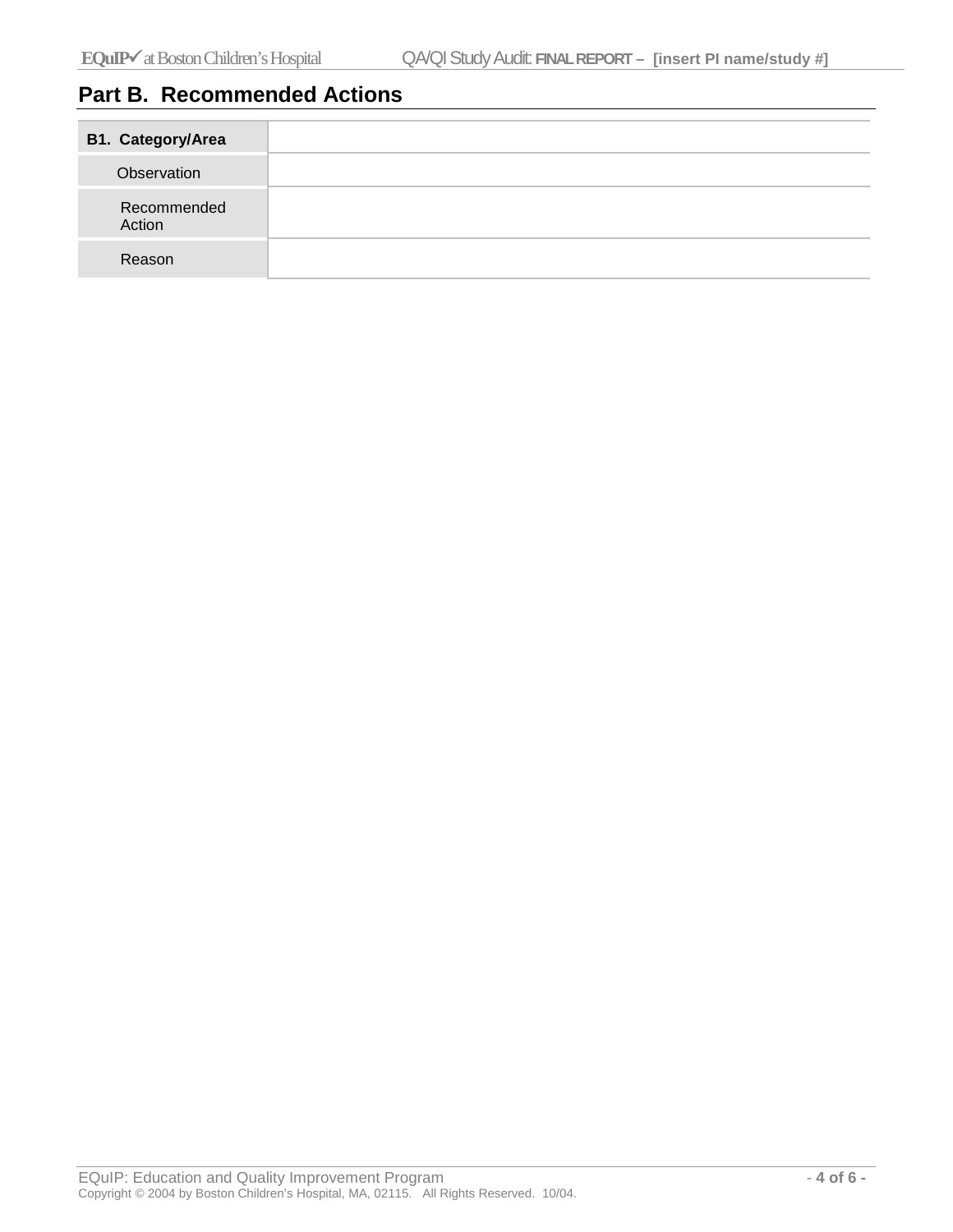# **Part B. Recommended Actions**

| <b>B1. Category/Area</b> |  |
|--------------------------|--|
| Observation              |  |
| Recommended<br>Action    |  |
| Reason                   |  |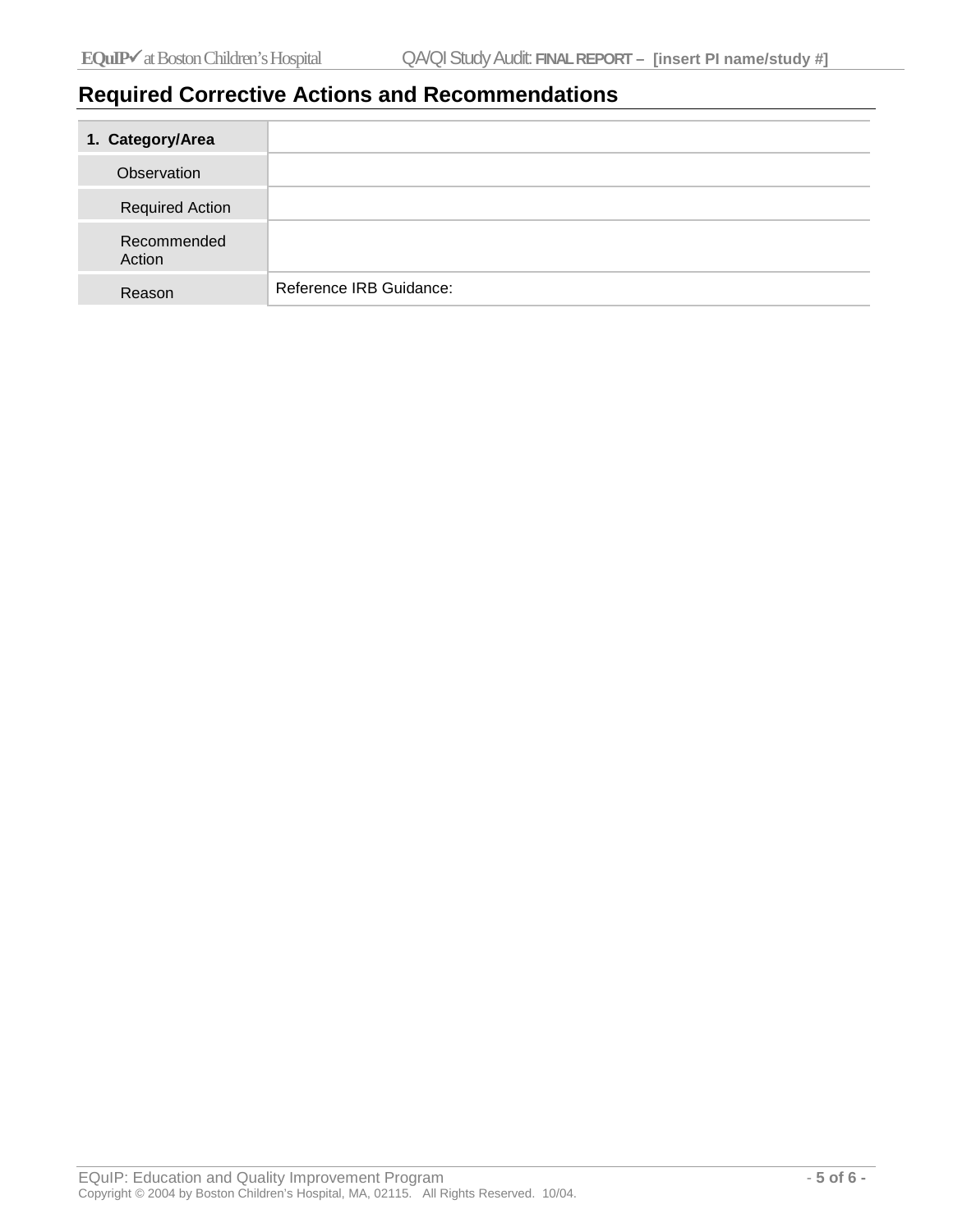## **Required Corrective Actions and Recommendations**

| 1. Category/Area       |                         |
|------------------------|-------------------------|
| Observation            |                         |
| <b>Required Action</b> |                         |
| Recommended<br>Action  |                         |
| Reason                 | Reference IRB Guidance: |